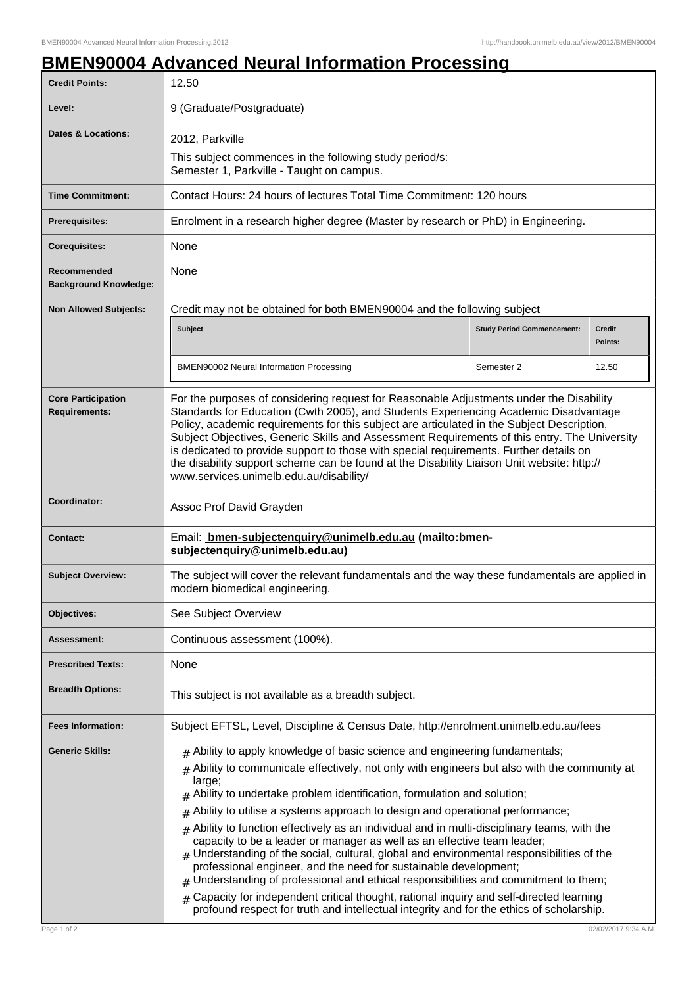## **BMEN90004 Advanced Neural Information Processing**

| <b>Credit Points:</b>                             | 12.50                                                                                                                                                                                                                                                                                                                                                                                                                                                                                                                                                                                                                                                                                                                                                                                                                                                                                                                                                                                                     |                                   |                          |
|---------------------------------------------------|-----------------------------------------------------------------------------------------------------------------------------------------------------------------------------------------------------------------------------------------------------------------------------------------------------------------------------------------------------------------------------------------------------------------------------------------------------------------------------------------------------------------------------------------------------------------------------------------------------------------------------------------------------------------------------------------------------------------------------------------------------------------------------------------------------------------------------------------------------------------------------------------------------------------------------------------------------------------------------------------------------------|-----------------------------------|--------------------------|
| Level:                                            | 9 (Graduate/Postgraduate)                                                                                                                                                                                                                                                                                                                                                                                                                                                                                                                                                                                                                                                                                                                                                                                                                                                                                                                                                                                 |                                   |                          |
| <b>Dates &amp; Locations:</b>                     | 2012, Parkville                                                                                                                                                                                                                                                                                                                                                                                                                                                                                                                                                                                                                                                                                                                                                                                                                                                                                                                                                                                           |                                   |                          |
|                                                   | This subject commences in the following study period/s:<br>Semester 1, Parkville - Taught on campus.                                                                                                                                                                                                                                                                                                                                                                                                                                                                                                                                                                                                                                                                                                                                                                                                                                                                                                      |                                   |                          |
| <b>Time Commitment:</b>                           | Contact Hours: 24 hours of lectures Total Time Commitment: 120 hours                                                                                                                                                                                                                                                                                                                                                                                                                                                                                                                                                                                                                                                                                                                                                                                                                                                                                                                                      |                                   |                          |
| Prerequisites:                                    | Enrolment in a research higher degree (Master by research or PhD) in Engineering.                                                                                                                                                                                                                                                                                                                                                                                                                                                                                                                                                                                                                                                                                                                                                                                                                                                                                                                         |                                   |                          |
| <b>Corequisites:</b>                              | None                                                                                                                                                                                                                                                                                                                                                                                                                                                                                                                                                                                                                                                                                                                                                                                                                                                                                                                                                                                                      |                                   |                          |
| Recommended<br><b>Background Knowledge:</b>       | None                                                                                                                                                                                                                                                                                                                                                                                                                                                                                                                                                                                                                                                                                                                                                                                                                                                                                                                                                                                                      |                                   |                          |
| <b>Non Allowed Subjects:</b>                      | Credit may not be obtained for both BMEN90004 and the following subject                                                                                                                                                                                                                                                                                                                                                                                                                                                                                                                                                                                                                                                                                                                                                                                                                                                                                                                                   |                                   |                          |
|                                                   | Subject                                                                                                                                                                                                                                                                                                                                                                                                                                                                                                                                                                                                                                                                                                                                                                                                                                                                                                                                                                                                   | <b>Study Period Commencement:</b> | <b>Credit</b><br>Points: |
|                                                   | <b>BMEN90002 Neural Information Processing</b>                                                                                                                                                                                                                                                                                                                                                                                                                                                                                                                                                                                                                                                                                                                                                                                                                                                                                                                                                            | Semester 2                        | 12.50                    |
| <b>Core Participation</b><br><b>Requirements:</b> | For the purposes of considering request for Reasonable Adjustments under the Disability<br>Standards for Education (Cwth 2005), and Students Experiencing Academic Disadvantage<br>Policy, academic requirements for this subject are articulated in the Subject Description,<br>Subject Objectives, Generic Skills and Assessment Requirements of this entry. The University<br>is dedicated to provide support to those with special requirements. Further details on<br>the disability support scheme can be found at the Disability Liaison Unit website: http://<br>www.services.unimelb.edu.au/disability/                                                                                                                                                                                                                                                                                                                                                                                          |                                   |                          |
| Coordinator:                                      | Assoc Prof David Grayden                                                                                                                                                                                                                                                                                                                                                                                                                                                                                                                                                                                                                                                                                                                                                                                                                                                                                                                                                                                  |                                   |                          |
| Contact:                                          | Email: <b>bmen-subjectenquiry@unimelb.edu.au</b> (mailto:bmen-<br>subjectenquiry@unimelb.edu.au)                                                                                                                                                                                                                                                                                                                                                                                                                                                                                                                                                                                                                                                                                                                                                                                                                                                                                                          |                                   |                          |
| <b>Subject Overview:</b>                          | The subject will cover the relevant fundamentals and the way these fundamentals are applied in<br>modern biomedical engineering.                                                                                                                                                                                                                                                                                                                                                                                                                                                                                                                                                                                                                                                                                                                                                                                                                                                                          |                                   |                          |
| Objectives:                                       | See Subject Overview                                                                                                                                                                                                                                                                                                                                                                                                                                                                                                                                                                                                                                                                                                                                                                                                                                                                                                                                                                                      |                                   |                          |
| Assessment:                                       | Continuous assessment (100%).                                                                                                                                                                                                                                                                                                                                                                                                                                                                                                                                                                                                                                                                                                                                                                                                                                                                                                                                                                             |                                   |                          |
| <b>Prescribed Texts:</b>                          | None                                                                                                                                                                                                                                                                                                                                                                                                                                                                                                                                                                                                                                                                                                                                                                                                                                                                                                                                                                                                      |                                   |                          |
| <b>Breadth Options:</b>                           | This subject is not available as a breadth subject.                                                                                                                                                                                                                                                                                                                                                                                                                                                                                                                                                                                                                                                                                                                                                                                                                                                                                                                                                       |                                   |                          |
| <b>Fees Information:</b>                          | Subject EFTSL, Level, Discipline & Census Date, http://enrolment.unimelb.edu.au/fees                                                                                                                                                                                                                                                                                                                                                                                                                                                                                                                                                                                                                                                                                                                                                                                                                                                                                                                      |                                   |                          |
| <b>Generic Skills:</b>                            | $*$ Ability to apply knowledge of basic science and engineering fundamentals;<br>Ability to communicate effectively, not only with engineers but also with the community at<br>#<br>large;<br>Ability to undertake problem identification, formulation and solution;<br>#<br>Ability to utilise a systems approach to design and operational performance;<br>#<br>Ability to function effectively as an individual and in multi-disciplinary teams, with the<br>#<br>capacity to be a leader or manager as well as an effective team leader;<br>$#$ Understanding of the social, cultural, global and environmental responsibilities of the<br>professional engineer, and the need for sustainable development;<br>Understanding of professional and ethical responsibilities and commitment to them;<br>#<br>Capacity for independent critical thought, rational inquiry and self-directed learning<br>$\pm$<br>profound respect for truth and intellectual integrity and for the ethics of scholarship. |                                   |                          |
| Page 1 of 2                                       |                                                                                                                                                                                                                                                                                                                                                                                                                                                                                                                                                                                                                                                                                                                                                                                                                                                                                                                                                                                                           |                                   | 02/02/2017 9:34 A.M      |